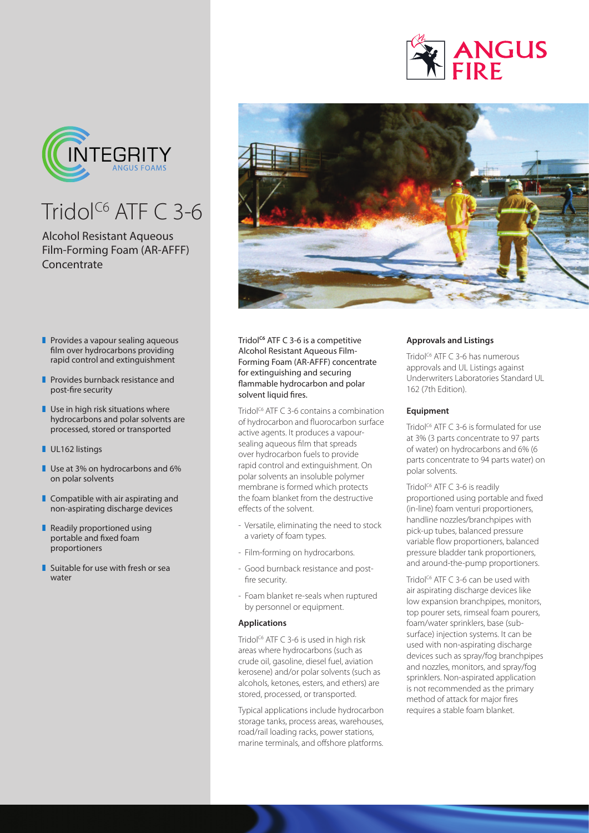



## Tridol<sup>C6</sup> ATF  $C$  3-6

## Alcohol Resistant Aqueous Film-Forming Foam (AR-AFFF) **Concentrate**

- $\blacksquare$  Provides a vapour sealing aqueous film over hydrocarbons providing rapid control and extinguishment
- **Provides burnback resistance and** post-fire security
- $\blacksquare$  Use in high risk situations where hydrocarbons and polar solvents are processed, stored or transported
- UL162 listings
- $\blacksquare$  Use at 3% on hydrocarbons and 6% on polar solvents
- $\blacksquare$  Compatible with air aspirating and non-aspirating discharge devices
- Readily proportioned using portable and fixed foam proportioners
- $\blacksquare$  Suitable for use with fresh or sea water



Tridol<sup>c6</sup> ATF C 3-6 is a competitive Alcohol Resistant Aqueous Film-Forming Foam (AR-AFFF) concentrate for extinguishing and securing flammable hydrocarbon and polar solvent liquid fires.

Tridol<sup>C6</sup> ATF C 3-6 contains a combination of hydrocarbon and fluorocarbon surface active agents. It produces a vapoursealing aqueous film that spreads over hydrocarbon fuels to provide rapid control and extinguishment. On polar solvents an insoluble polymer membrane is formed which protects the foam blanket from the destructive effects of the solvent.

- Versatile, eliminating the need to stock a variety of foam types.
- Film-forming on hydrocarbons.
- Good burnback resistance and postfire security.
- Foam blanket re-seals when ruptured by personnel or equipment.

### **Applications**

Tridol<sup> $C6$ </sup> ATF C 3-6 is used in high risk areas where hydrocarbons (such as crude oil, gasoline, diesel fuel, aviation kerosene) and/or polar solvents (such as alcohols, ketones, esters, and ethers) are stored, processed, or transported.

Typical applications include hydrocarbon storage tanks, process areas, warehouses, road/rail loading racks, power stations, marine terminals, and offshore platforms.

### **Approvals and Listings**

Tridol<sup>c6</sup> ATF C 3-6 has numerous approvals and UL Listings against Underwriters Laboratories Standard UL 162 (7th Edition).

#### **Equipment**

Tridol<sup> $C6$ </sup> ATF C 3-6 is formulated for use at 3% (3 parts concentrate to 97 parts of water) on hydrocarbons and 6% (6 parts concentrate to 94 parts water) on polar solvents.

Tridol<sup>c6</sup> ATF C 3-6 is readily proportioned using portable and fixed (in-line) foam venturi proportioners, handline nozzles/branchpipes with pick-up tubes, balanced pressure variable flow proportioners, balanced pressure bladder tank proportioners, and around-the-pump proportioners.

Tridol<sup>c6</sup> ATF C 3-6 can be used with air aspirating discharge devices like low expansion branchpipes, monitors, top pourer sets, rimseal foam pourers, foam/water sprinklers, base (subsurface) injection systems. It can be used with non-aspirating discharge devices such as spray/fog branchpipes and nozzles, monitors, and spray/fog sprinklers. Non-aspirated application is not recommended as the primary method of attack for major fires requires a stable foam blanket.